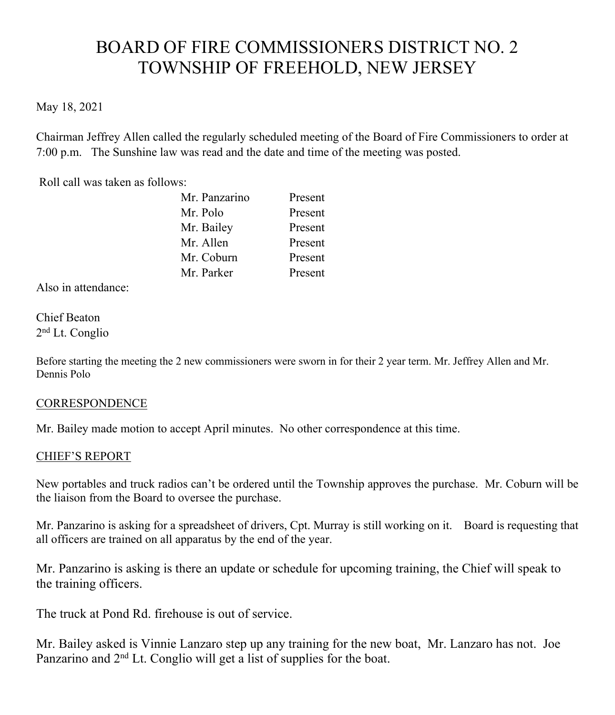# BOARD OF FIRE COMMISSIONERS DISTRICT NO. 2 TOWNSHIP OF FREEHOLD, NEW JERSEY

# May 18, 2021

Chairman Jeffrey Allen called the regularly scheduled meeting of the Board of Fire Commissioners to order at 7:00 p.m. The Sunshine law was read and the date and time of the meeting was posted.

Roll call was taken as follows:

| Mr. Panzarino | Present |
|---------------|---------|
| Mr. Polo      | Present |
| Mr. Bailey    | Present |
| Mr. Allen     | Present |
| Mr. Coburn    | Present |
| Mr. Parker    | Present |
|               |         |

Also in attendance:

Chief Beaton 2nd Lt. Conglio

Before starting the meeting the 2 new commissioners were sworn in for their 2 year term. Mr. Jeffrey Allen and Mr. Dennis Polo

## **CORRESPONDENCE**

Mr. Bailey made motion to accept April minutes. No other correspondence at this time.

## CHIEF'S REPORT

New portables and truck radios can't be ordered until the Township approves the purchase. Mr. Coburn will be the liaison from the Board to oversee the purchase.

Mr. Panzarino is asking for a spreadsheet of drivers, Cpt. Murray is still working on it. Board is requesting that all officers are trained on all apparatus by the end of the year.

Mr. Panzarino is asking is there an update or schedule for upcoming training, the Chief will speak to the training officers.

The truck at Pond Rd. firehouse is out of service.

Mr. Bailey asked is Vinnie Lanzaro step up any training for the new boat, Mr. Lanzaro has not. Joe Panzarino and 2<sup>nd</sup> Lt. Conglio will get a list of supplies for the boat.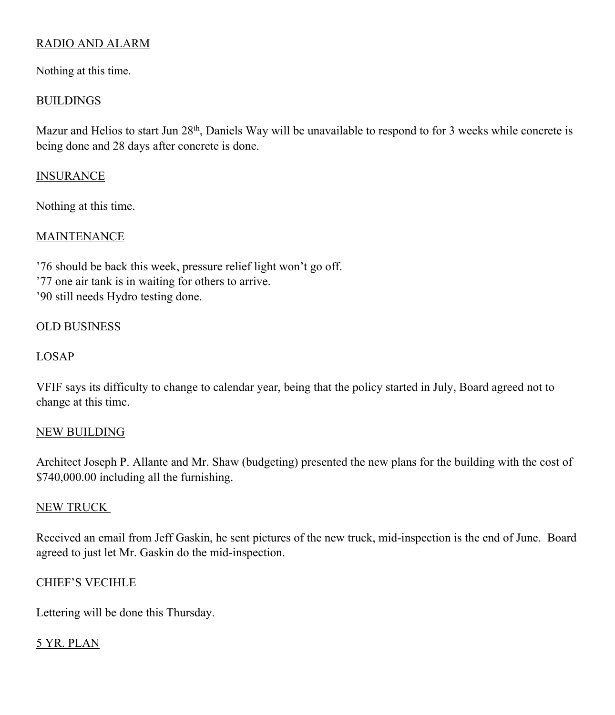# RADIO AND ALARM

Nothing at this time.

## BUILDINGS

Mazur and Helios to start Jun 28<sup>th</sup>, Daniels Way will be unavailable to respond to for 3 weeks while concrete is being done and 28 days after concrete is done.

## INSURANCE

Nothing at this time.

## MAINTENANCE

'76 should be back this week, pressure relief light won't go off. '77 one air tank is in waiting for others to arrive. '90 still needs Hydro testing done.

#### OLD BUSINESS

## LOSAP

VFIF says its difficulty to change to calendar year, being that the policy started in July, Board agreed not to change at this time.

#### NEW BUILDING

Architect Joseph P. Allante and Mr. Shaw (budgeting) presented the new plans for the building with the cost of \$740,000.00 including all the furnishing.

#### NEW TRUCK

Received an email from Jeff Gaskin, he sent pictures of the new truck, mid-inspection is the end of June. Board agreed to just let Mr. Gaskin do the mid-inspection.

## CHIEF'S VECIHLE

Lettering will be done this Thursday.

## 5 YR. PLAN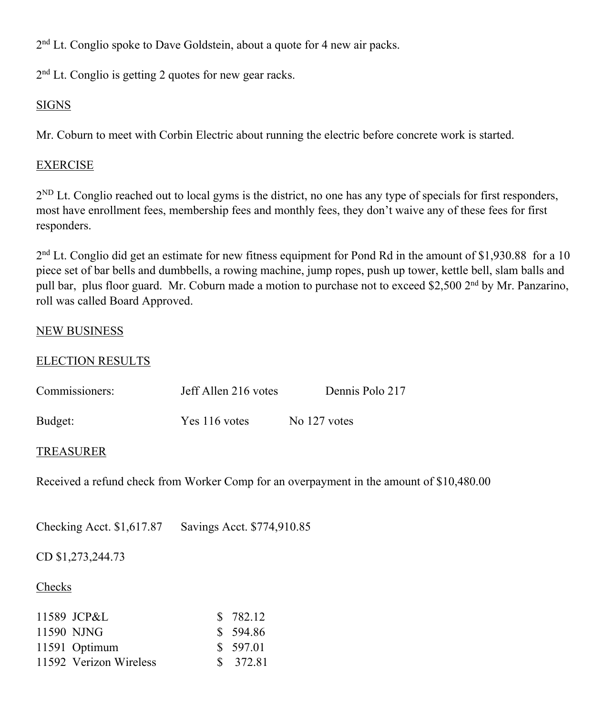2<sup>nd</sup> Lt. Conglio spoke to Dave Goldstein, about a quote for 4 new air packs.

2nd Lt. Conglio is getting 2 quotes for new gear racks.

# SIGNS

Mr. Coburn to meet with Corbin Electric about running the electric before concrete work is started.

# EXERCISE

2<sup>ND</sup> Lt. Conglio reached out to local gyms is the district, no one has any type of specials for first responders, most have enrollment fees, membership fees and monthly fees, they don't waive any of these fees for first responders.

2nd Lt. Conglio did get an estimate for new fitness equipment for Pond Rd in the amount of \$1,930.88 for a 10 piece set of bar bells and dumbbells, a rowing machine, jump ropes, push up tower, kettle bell, slam balls and pull bar, plus floor guard. Mr. Coburn made a motion to purchase not to exceed \$2,500 2<sup>nd</sup> by Mr. Panzarino, roll was called Board Approved.

# NEW BUSINESS

# ELECTION RESULTS

| Commissioners: | Jeff Allen 216 votes | Dennis Polo 217 |
|----------------|----------------------|-----------------|
| Budget:        | Yes 116 votes        | No 127 votes    |

## TREASURER

Received a refund check from Worker Comp for an overpayment in the amount of \$10,480.00

Checking Acct. \$1,617.87 Savings Acct. \$774,910.85

CD \$1,273,244.73

# Checks

| 11589 JCP&L            | \$ 782.12 |
|------------------------|-----------|
| 11590 NJNG             | \$ 594.86 |
| 11591 Optimum          | \$ 597.01 |
| 11592 Verizon Wireless | \$ 372.81 |